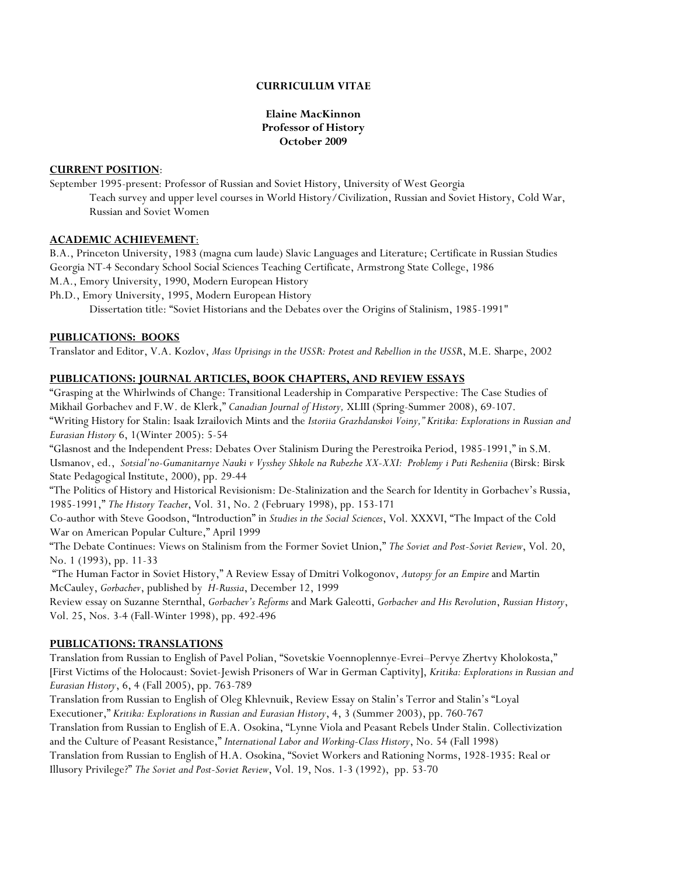### **CURRICULUM VITAE**

### **Elaine MacKinnon Professor of History October 2009**

#### **CURRENT POSITION**:

September 1995-present: Professor of Russian and Soviet History, University of West Georgia Teach survey and upper level courses in World History/Civilization, Russian and Soviet History, Cold War, Russian and Soviet Women

### **ACADEMIC ACHIEVEMENT**:

B.A., Princeton University, 1983 (magna cum laude) Slavic Languages and Literature; Certificate in Russian Studies Georgia NT-4 Secondary School Social Sciences Teaching Certificate, Armstrong State College, 1986

M.A., Emory University, 1990, Modern European History

Ph.D., Emory University, 1995, Modern European History

Dissertation title: "Soviet Historians and the Debates over the Origins of Stalinism, 1985-1991"

#### **PUBLICATIONS: BOOKS**

Translator and Editor, V.A. Kozlov, *Mass Uprisings in the USSR: Protest and Rebellion in the USSR*, M.E. Sharpe, 2002

#### **PUBLICATIONS: JOURNAL ARTICLES, BOOK CHAPTERS, AND REVIEW ESSAYS**

"Grasping at the Whirlwinds of Change: Transitional Leadership in Comparative Perspective: The Case Studies of Mikhail Gorbachev and F.W. de Klerk," *Canadian Journal of History,* XLIII (Spring-Summer 2008), 69-107. "Writing History for Stalin: Isaak Izrailovich Mints and the *Istoriia Grazhdanskoi Voiny," Kritika: Explorations in Russian and Eurasian History* 6, 1(Winter 2005): 5-54

"Glasnost and the Independent Press: Debates Over Stalinism During the Perestroika Period, 1985-1991," in S.M. Usmanov, ed., *Sotsial'no-Gumanitarnye Nauki v Vysshey Shkole na Rubezhe XX-XXI: Problemy i Puti Resheniia* (Birsk: Birsk State Pedagogical Institute, 2000), pp. 29-44

"The Politics of History and Historical Revisionism: De-Stalinization and the Search for Identity in Gorbachev's Russia, 1985-1991," *The History Teacher*, Vol. 31, No. 2 (February 1998), pp. 153-171

Co-author with Steve Goodson, "Introduction" in *Studies in the Social Sciences*, Vol. XXXVI, "The Impact of the Cold War on American Popular Culture," April 1999

"The Debate Continues: Views on Stalinism from the Former Soviet Union," *The Soviet and Post-Soviet Review*, Vol. 20, No. 1 (1993), pp. 11-33

 "The Human Factor in Soviet History," A Review Essay of Dmitri Volkogonov, *Autopsy for an Empire* and Martin McCauley, *Gorbachev*, published by *H-Russia*, December 12, 1999

Review essay on Suzanne Sternthal, *Gorbachev's Reforms* and Mark Galeotti, *Gorbachev and His Revolution*, *Russian History*, Vol. 25, Nos. 3-4 (Fall-Winter 1998), pp. 492-496

#### **PUBLICATIONS: TRANSLATIONS**

Translation from Russian to English of Pavel Polian, "Sovetskie Voennoplennye-Evrei–Pervye Zhertvy Kholokosta," [First Victims of the Holocaust: Soviet-Jewish Prisoners of War in German Captivity], *Kritika: Explorations in Russian and Eurasian History*, 6, 4 (Fall 2005), pp. 763-789

Translation from Russian to English of Oleg Khlevnuik, Review Essay on Stalin's Terror and Stalin's "Loyal Executioner," *Kritika: Explorations in Russian and Eurasian History*, 4, 3 (Summer 2003), pp. 760-767 Translation from Russian to English of E.A. Osokina, "Lynne Viola and Peasant Rebels Under Stalin. Collectivization and the Culture of Peasant Resistance," *International Labor and Working-Class History*, No. 54 (Fall 1998) Translation from Russian to English of H.A. Osokina, "Soviet Workers and Rationing Norms, 1928-1935: Real or Illusory Privilege?" *The Soviet and Post-Soviet Review*, Vol. 19, Nos. 1-3 (1992), pp. 53-70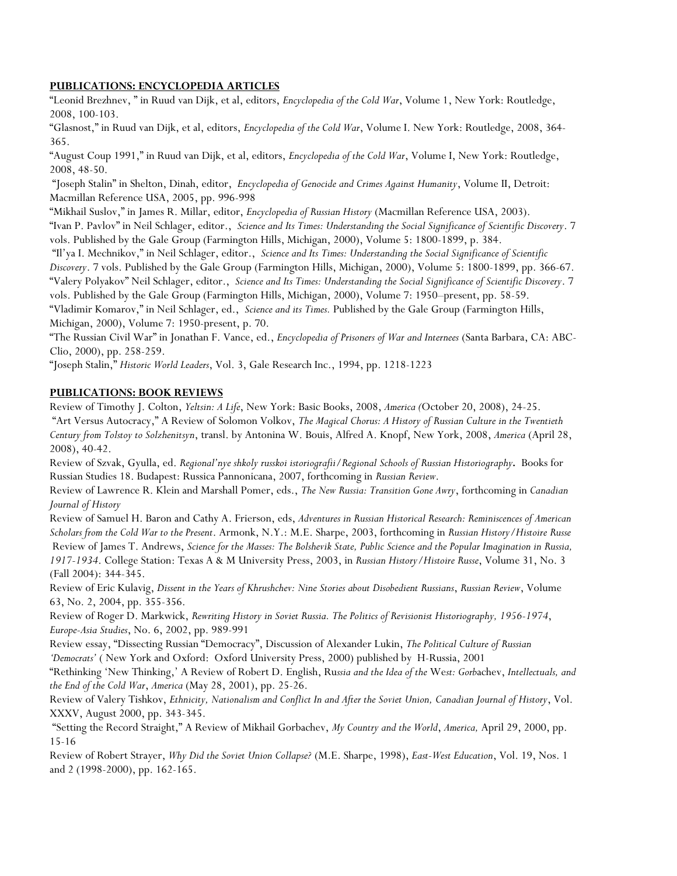### **PUBLICATIONS: ENCYCLOPEDIA ARTICLES**

"Leonid Brezhnev, " in Ruud van Dijk, et al, editors, *Encyclopedia of the Cold War*, Volume 1, New York: Routledge, 2008, 100-103.

"Glasnost," in Ruud van Dijk, et al, editors, *Encyclopedia of the Cold War*, Volume I. New York: Routledge, 2008, 364- 365.

"August Coup 1991," in Ruud van Dijk, et al, editors, *Encyclopedia of the Cold War*, Volume I, New York: Routledge, 2008, 48-50.

 "Joseph Stalin" in Shelton, Dinah, editor, *Encyclopedia of Genocide and Crimes Against Humanity*, Volume II, Detroit: Macmillan Reference USA, 2005, pp. 996-998

"Mikhail Suslov," in James R. Millar, editor, *Encyclopedia of Russian History* (Macmillan Reference USA, 2003). "Ivan P. Pavlov" in Neil Schlager, editor., *Science and Its Times: Understanding the Social Significance of Scientific Discovery*. 7 vols. Published by the Gale Group (Farmington Hills, Michigan, 2000), Volume 5: 1800-1899, p. 384.

 "Il'ya I. Mechnikov," in Neil Schlager, editor., *Science and Its Times: Understanding the Social Significance of Scientific Discovery*. 7 vols. Published by the Gale Group (Farmington Hills, Michigan, 2000), Volume 5: 1800-1899, pp. 366-67. "Valery Polyakov" Neil Schlager, editor., *Science and Its Times: Understanding the Social Significance of Scientific Discovery*. 7 vols. Published by the Gale Group (Farmington Hills, Michigan, 2000), Volume 7: 1950–present, pp. 58-59. "Vladimir Komarov," in Neil Schlager, ed., *Science and its Times.* Published by the Gale Group (Farmington Hills, Michigan, 2000), Volume 7: 1950-present, p. 70.

"The Russian Civil War" in Jonathan F. Vance, ed., *Encyclopedia of Prisoners of War and Internees* (Santa Barbara, CA: ABC-Clio, 2000), pp. 258-259.

"Joseph Stalin," *Historic World Leaders*, Vol. 3, Gale Research Inc., 1994, pp. 1218-1223

### **PUBLICATIONS: BOOK REVIEWS**

Review of Timothy J. Colton, *Yeltsin: A Life*, New York: Basic Books, 2008, *America (*October 20, 2008), 24-25. "Art Versus Autocracy," A Review of Solomon Volkov, *The Magical Chorus: A History of Russian Culture in the Twentieth Century from Tolstoy to Solzhenitsyn*, transl. by Antonina W. Bouis, Alfred A. Knopf, New York, 2008, *America* (April 28, 2008), 40-42.

Review of Szvak, Gyulla, ed. *Regional'nye shkoly russkoi istoriografii/Regional Schools of Russian Historiography.* Books for Russian Studies 18. Budapest: Russica Pannonicana, 2007, forthcoming in *Russian Review*.

Review of Lawrence R. Klein and Marshall Pomer, eds., *The New Russia: Transition Gone Awry*, forthcoming in *Canadian Journal of History*

Review of Samuel H. Baron and Cathy A. Frierson, eds, *Adventures in Russian Historical Research: Reminiscences of American Scholars from the Cold War to the Present*. Armonk, N.Y.: M.E. Sharpe, 2003, forthcoming in *Russian History/Histoire Russe* Review of James T. Andrews, *Science for the Masses: The Bolshevik State, Public Science and the Popular Imagination in Russia, 1917-1934*. College Station: Texas A & M University Press, 2003, in *Russian History/Histoire Russe*, Volume 31, No. 3 (Fall 2004): 344-345.

Review of Eric Kulavig, *Dissent in the Years of Khrushchev: Nine Stories about Disobedient Russians*, *Russian Review*, Volume 63, No. 2, 2004, pp. 355-356.

Review of Roger D. Markwick, *Rewriting History in Soviet Russia. The Politics of Revisionist Historiography, 1956-1974*, *Europe-Asia Studies*, No. 6, 2002, pp. 989-991

Review essay, "Dissecting Russian "Democracy", Discussion of Alexander Lukin, *The Political Culture of Russian 'Democrats'* ( New York and Oxford: Oxford University Press, 2000) published by H-Russia, 2001

"Rethinking 'New Thinking,' A Review of Robert D. English, Ru*ssia and the Idea of the* We*st: Gorb*achev, *Intellectuals, and the End of the Cold War*, *America* (May 28, 2001), pp. 25-26.

Review of Valery Tishkov, *Ethnicity, Nationalism and Conflict In and After the Soviet Union, Canadian Journal of History*, Vol. XXXV, August 2000, pp. 343-345.

 "Setting the Record Straight," A Review of Mikhail Gorbachev, *My Country and the World*, *America,* April 29, 2000, pp. 15-16

Review of Robert Strayer, *Why Did the Soviet Union Collapse?* (M.E. Sharpe, 1998), *East-West Education*, Vol. 19, Nos. 1 and 2 (1998-2000), pp. 162-165.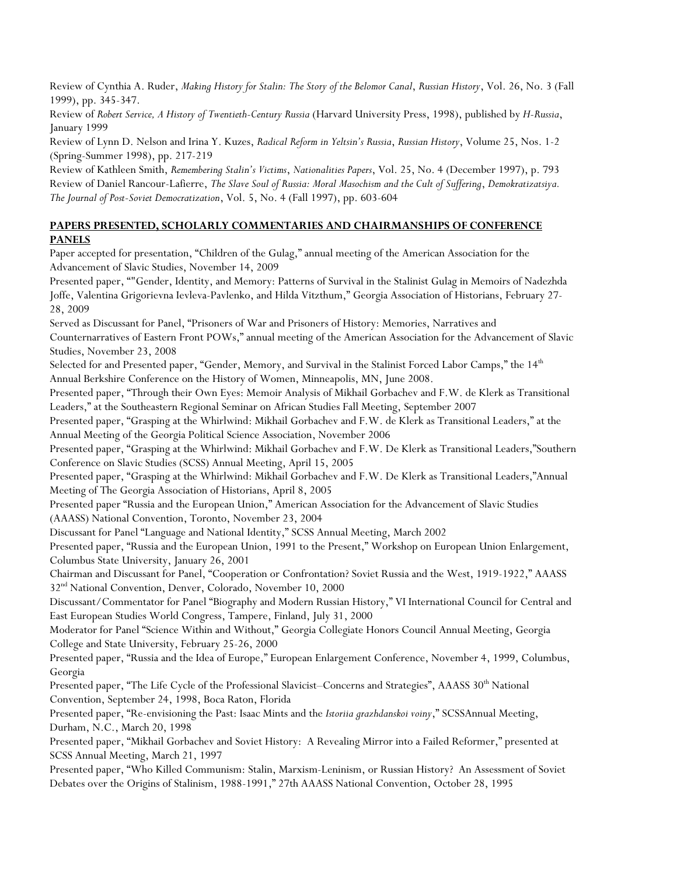Review of Cynthia A. Ruder, *Making History for Stalin: The Story of the Belomor Canal*, *Russian History*, Vol. 26, No. 3 (Fall 1999), pp. 345-347.

Review of *Robert Service, A History of Twentieth-Century Russia* (Harvard University Press, 1998), published by *H-Russia*, January 1999

Review of Lynn D. Nelson and Irina Y. Kuzes, *Radical Reform in Yeltsin's Russia*, *Russian History*, Volume 25, Nos. 1-2 (Spring-Summer 1998), pp. 217-219

Review of Kathleen Smith, *Remembering Stalin's Victims*, *Nationalities Papers*, Vol. 25, No. 4 (December 1997), p. 793 Review of Daniel Rancour-Lafierre, *The Slave Soul of Russia: Moral Masochism and the Cult of Suffering*, *Demokratizatsiya. The Journal of Post-Soviet Democratization*, Vol. 5, No. 4 (Fall 1997), pp. 603-604

### **PAPERS PRESENTED, SCHOLARLY COMMENTARIES AND CHAIRMANSHIPS OF CONFERENCE PANELS**

Paper accepted for presentation, "Children of the Gulag," annual meeting of the American Association for the Advancement of Slavic Studies, November 14, 2009

Presented paper, ""Gender, Identity, and Memory: Patterns of Survival in the Stalinist Gulag in Memoirs of Nadezhda Joffe, Valentina Grigorievna Ievleva-Pavlenko, and Hilda Vitzthum," Georgia Association of Historians, February 27- 28, 2009

Served as Discussant for Panel, "Prisoners of War and Prisoners of History: Memories, Narratives and Counternarratives of Eastern Front POWs," annual meeting of the American Association for the Advancement of Slavic Studies, November 23, 2008

Selected for and Presented paper, "Gender, Memory, and Survival in the Stalinist Forced Labor Camps," the 14<sup>th</sup> Annual Berkshire Conference on the History of Women, Minneapolis, MN, June 2008.

Presented paper, "Through their Own Eyes: Memoir Analysis of Mikhail Gorbachev and F.W. de Klerk as Transitional Leaders," at the Southeastern Regional Seminar on African Studies Fall Meeting, September 2007

Presented paper, "Grasping at the Whirlwind: Mikhail Gorbachev and F.W. de Klerk as Transitional Leaders," at the Annual Meeting of the Georgia Political Science Association, November 2006

Presented paper, "Grasping at the Whirlwind: Mikhail Gorbachev and F.W. De Klerk as Transitional Leaders,"Southern Conference on Slavic Studies (SCSS) Annual Meeting, April 15, 2005

Presented paper, "Grasping at the Whirlwind: Mikhail Gorbachev and F.W. De Klerk as Transitional Leaders,"Annual Meeting of The Georgia Association of Historians, April 8, 2005

Presented paper "Russia and the European Union," American Association for the Advancement of Slavic Studies (AAASS) National Convention, Toronto, November 23, 2004

Discussant for Panel "Language and National Identity," SCSS Annual Meeting, March 2002

Presented paper, "Russia and the European Union, 1991 to the Present," Workshop on European Union Enlargement, Columbus State University, January 26, 2001

Chairman and Discussant for Panel, "Cooperation or Confrontation? Soviet Russia and the West, 1919-1922," AAASS 32<sup>nd</sup> National Convention, Denver, Colorado, November 10, 2000

Discussant/Commentator for Panel "Biography and Modern Russian History," VI International Council for Central and East European Studies World Congress, Tampere, Finland, July 31, 2000

Moderator for Panel "Science Within and Without," Georgia Collegiate Honors Council Annual Meeting, Georgia College and State University, February 25-26, 2000

Presented paper, "Russia and the Idea of Europe," European Enlargement Conference, November 4, 1999, Columbus, Georgia

Presented paper, "The Life Cycle of the Professional Slavicist–Concerns and Strategies", AAASS 30<sup>th</sup> National Convention, September 24, 1998, Boca Raton, Florida

Presented paper, "Re-envisioning the Past: Isaac Mints and the *Istoriia grazhdanskoi voiny*," SCSSAnnual Meeting, Durham, N.C., March 20, 1998

Presented paper, "Mikhail Gorbachev and Soviet History: A Revealing Mirror into a Failed Reformer," presented at SCSS Annual Meeting, March 21, 1997

Presented paper, "Who Killed Communism: Stalin, Marxism-Leninism, or Russian History? An Assessment of Soviet Debates over the Origins of Stalinism, 1988-1991," 27th AAASS National Convention, October 28, 1995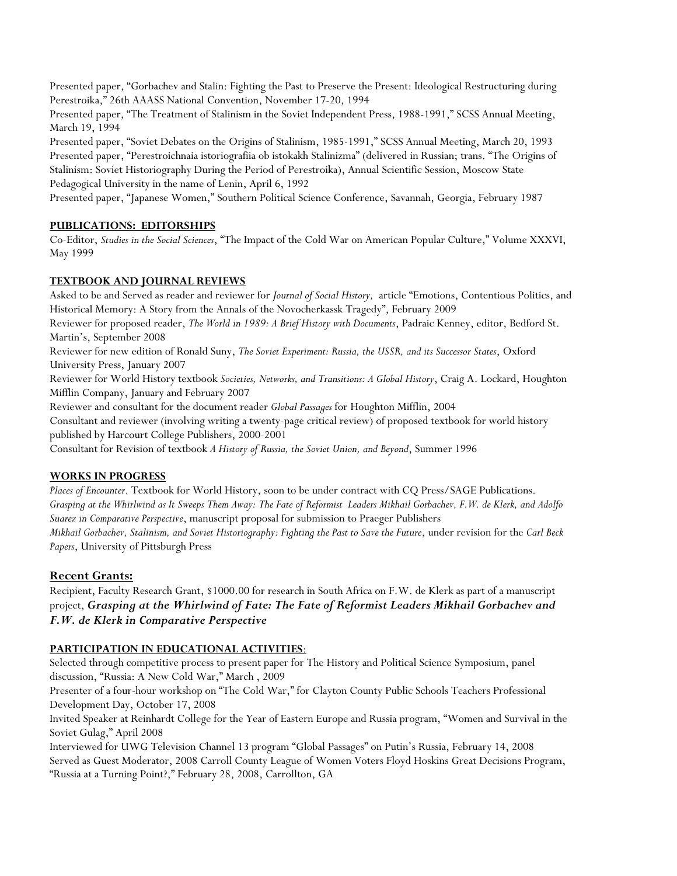Presented paper, "Gorbachev and Stalin: Fighting the Past to Preserve the Present: Ideological Restructuring during Perestroika," 26th AAASS National Convention, November 17-20, 1994

Presented paper, "The Treatment of Stalinism in the Soviet Independent Press, 1988-1991," SCSS Annual Meeting, March 19, 1994

Presented paper, "Soviet Debates on the Origins of Stalinism, 1985-1991," SCSS Annual Meeting, March 20, 1993 Presented paper, "Perestroichnaia istoriografiia ob istokakh Stalinizma" (delivered in Russian; trans. "The Origins of Stalinism: Soviet Historiography During the Period of Perestroika), Annual Scientific Session, Moscow State Pedagogical University in the name of Lenin, April 6, 1992

Presented paper, "Japanese Women," Southern Political Science Conference, Savannah, Georgia, February 1987

### **PUBLICATIONS: EDITORSHIPS**

Co-Editor, *Studies in the Social Sciences*, "The Impact of the Cold War on American Popular Culture," Volume XXXVI, May 1999

### **TEXTBOOK AND JOURNAL REVIEWS**

Asked to be and Served as reader and reviewer for *Journal of Social History,* article "Emotions, Contentious Politics, and Historical Memory: A Story from the Annals of the Novocherkassk Tragedy", February 2009 Reviewer for proposed reader, *The World in 1989: A Brief History with Documents*, Padraic Kenney, editor, Bedford St. Martin's, September 2008 Reviewer for new edition of Ronald Suny, *The Soviet Experiment: Russia, the USSR, and its Successor States*, Oxford University Press, January 2007 Reviewer for World History textbook *Societies, Networks, and Transitions: A Global History*, Craig A. Lockard, Houghton Mifflin Company, January and February 2007 Reviewer and consultant for the document reader *Global Passages* for Houghton Mifflin, 2004

Consultant and reviewer (involving writing a twenty-page critical review) of proposed textbook for world history published by Harcourt College Publishers, 2000-2001

Consultant for Revision of textbook *A History of Russia, the Soviet Union, and Beyond*, Summer 1996

## **WORKS IN PROGRESS**

*Places of Encounter*. Textbook for World History, soon to be under contract with CQ Press/SAGE Publications. *Grasping at the Whirlwind as It Sweeps Them Away: The Fate of Reformist Leaders Mikhail Gorbachev, F.W. de Klerk, and Adolfo Suarez in Comparative Perspective*, manuscript proposal for submission to Praeger Publishers  *Mikhail Gorbachev, Stalinism, and Soviet Historiography: Fighting the Past to Save the Future*, under revision for the *Carl Beck Papers*, University of Pittsburgh Press

## **Recent Grants:**

Recipient, Faculty Research Grant, \$1000.00 for research in South Africa on F.W. de Klerk as part of a manuscript project, *Grasping at the Whirlwind of Fate: The Fate of Reformist Leaders Mikhail Gorbachev and F.W. de Klerk in Comparative Perspective*

## **PARTICIPATION IN EDUCATIONAL ACTIVITIES**:

Selected through competitive process to present paper for The History and Political Science Symposium, panel discussion, "Russia: A New Cold War," March , 2009

Presenter of a four-hour workshop on "The Cold War," for Clayton County Public Schools Teachers Professional Development Day, October 17, 2008

Invited Speaker at Reinhardt College for the Year of Eastern Europe and Russia program, "Women and Survival in the Soviet Gulag," April 2008

Interviewed for UWG Television Channel 13 program "Global Passages" on Putin's Russia, February 14, 2008 Served as Guest Moderator, 2008 Carroll County League of Women Voters Floyd Hoskins Great Decisions Program, "Russia at a Turning Point?," February 28, 2008, Carrollton, GA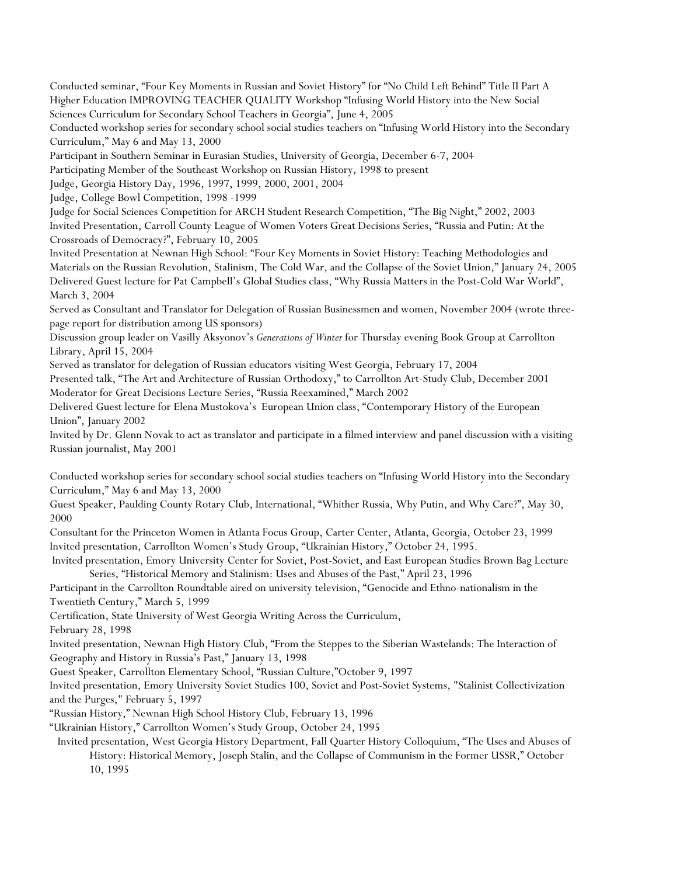Conducted seminar, "Four Key Moments in Russian and Soviet History" for "No Child Left Behind" Title II Part A Higher Education IMPROVING TEACHER QUALITY Workshop "Infusing World History into the New Social Sciences Curriculum for Secondary School Teachers in Georgia", June 4, 2005

Conducted workshop series for secondary school social studies teachers on "Infusing World History into the Secondary Curriculum," May 6 and May 13, 2000

Participant in Southern Seminar in Eurasian Studies, University of Georgia, December 6-7, 2004

Participating Member of the Southeast Workshop on Russian History, 1998 to present

Judge, Georgia History Day, 1996, 1997, 1999, 2000, 2001, 2004

Judge, College Bowl Competition, 1998 -1999

Judge for Social Sciences Competition for ARCH Student Research Competition, "The Big Night," 2002, 2003 Invited Presentation, Carroll County League of Women Voters Great Decisions Series, "Russia and Putin: At the Crossroads of Democracy?", February 10, 2005

Invited Presentation at Newnan High School: "Four Key Moments in Soviet History: Teaching Methodologies and Materials on the Russian Revolution, Stalinism, The Cold War, and the Collapse of the Soviet Union," January 24, 2005 Delivered Guest lecture for Pat Campbell's Global Studies class, "Why Russia Matters in the Post-Cold War World", March 3, 2004

Served as Consultant and Translator for Delegation of Russian Businessmen and women, November 2004 (wrote threepage report for distribution among US sponsors)

Discussion group leader on Vasilly Aksyonov's *Generations of Winter* for Thursday evening Book Group at Carrollton Library, April 15, 2004

Served as translator for delegation of Russian educators visiting West Georgia, February 17, 2004

Presented talk, "The Art and Architecture of Russian Orthodoxy," to Carrollton Art-Study Club, December 2001 Moderator for Great Decisions Lecture Series, "Russia Reexamined," March 2002

Delivered Guest lecture for Elena Mustokova's European Union class, "Contemporary History of the European Union", January 2002

Invited by Dr. Glenn Novak to act as translator and participate in a filmed interview and panel discussion with a visiting Russian journalist, May 2001

Conducted workshop series for secondary school social studies teachers on "Infusing World History into the Secondary Curriculum," May 6 and May 13, 2000

Guest Speaker, Paulding County Rotary Club, International, "Whither Russia, Why Putin, and Why Care?", May 30, 2000

Consultant for the Princeton Women in Atlanta Focus Group, Carter Center, Atlanta, Georgia, October 23, 1999 Invited presentation, Carrollton Women's Study Group, "Ukrainian History," October 24, 1995.

 Invited presentation, Emory University Center for Soviet, Post-Soviet, and East European Studies Brown Bag Lecture Series, "Historical Memory and Stalinism: Uses and Abuses of the Past," April 23, 1996

Participant in the Carrollton Roundtable aired on university television, "Genocide and Ethno-nationalism in the Twentieth Century," March 5, 1999

Certification, State University of West Georgia Writing Across the Curriculum,

February 28, 1998

Invited presentation, Newnan High History Club, "From the Steppes to the Siberian Wastelands: The Interaction of Geography and History in Russia's Past," January 13, 1998

Guest Speaker, Carrollton Elementary School, "Russian Culture,"October 9, 1997

Invited presentation, Emory University Soviet Studies 100, Soviet and Post-Soviet Systems, "Stalinist Collectivization and the Purges," February 5, 1997

"Russian History," Newnan High School History Club, February 13, 1996

"Ukrainian History," Carrollton Women's Study Group, October 24, 1995

 Invited presentation, West Georgia History Department, Fall Quarter History Colloquium, "The Uses and Abuses of History: Historical Memory, Joseph Stalin, and the Collapse of Communism in the Former USSR," October 10, 1995